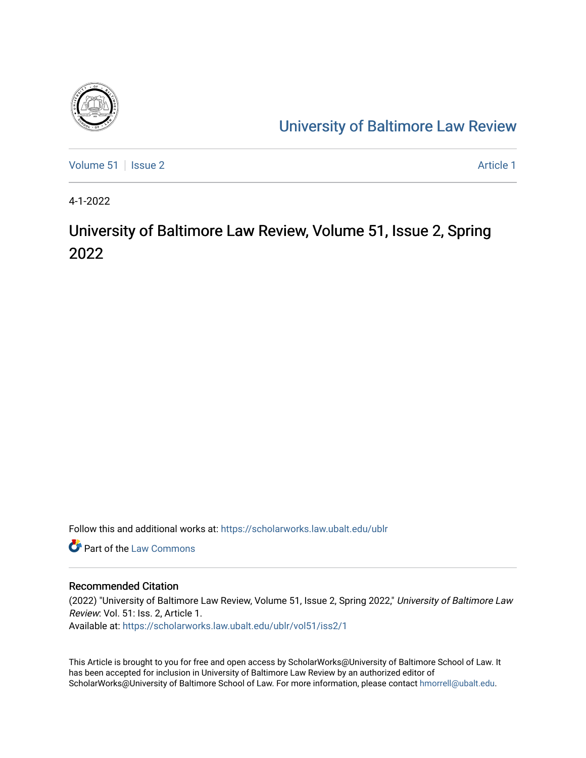

# [University of Baltimore Law Review](https://scholarworks.law.ubalt.edu/ublr)

[Volume 51](https://scholarworks.law.ubalt.edu/ublr/vol51) | [Issue 2](https://scholarworks.law.ubalt.edu/ublr/vol51/iss2) Article 1

4-1-2022

# University of Baltimore Law Review, Volume 51, Issue 2, Spring 2022

Follow this and additional works at: [https://scholarworks.law.ubalt.edu/ublr](https://scholarworks.law.ubalt.edu/ublr?utm_source=scholarworks.law.ubalt.edu%2Fublr%2Fvol51%2Fiss2%2F1&utm_medium=PDF&utm_campaign=PDFCoverPages)

**C** Part of the [Law Commons](https://network.bepress.com/hgg/discipline/578?utm_source=scholarworks.law.ubalt.edu%2Fublr%2Fvol51%2Fiss2%2F1&utm_medium=PDF&utm_campaign=PDFCoverPages)

#### Recommended Citation

(2022) "University of Baltimore Law Review, Volume 51, Issue 2, Spring 2022," University of Baltimore Law Review: Vol. 51: Iss. 2, Article 1. Available at: [https://scholarworks.law.ubalt.edu/ublr/vol51/iss2/1](https://scholarworks.law.ubalt.edu/ublr/vol51/iss2/1?utm_source=scholarworks.law.ubalt.edu%2Fublr%2Fvol51%2Fiss2%2F1&utm_medium=PDF&utm_campaign=PDFCoverPages)

This Article is brought to you for free and open access by ScholarWorks@University of Baltimore School of Law. It has been accepted for inclusion in University of Baltimore Law Review by an authorized editor of ScholarWorks@University of Baltimore School of Law. For more information, please contact [hmorrell@ubalt.edu](mailto:hmorrell@ubalt.edu).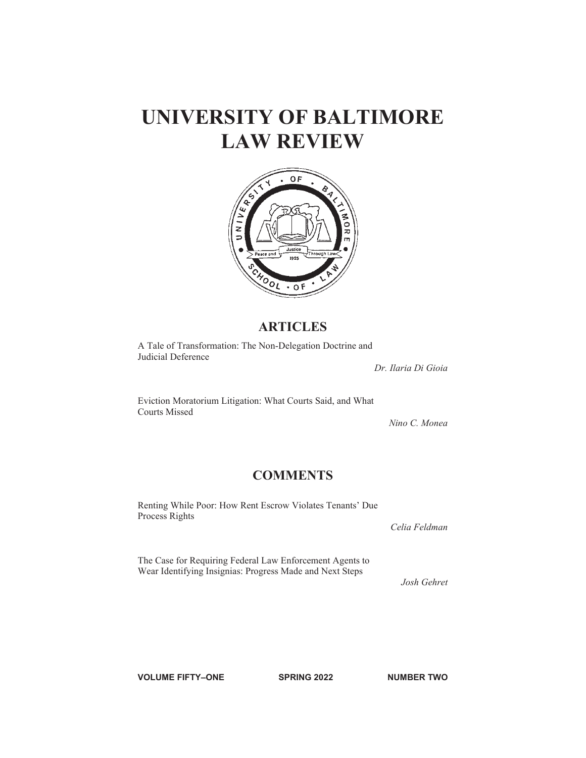

### **ARTICLES**

A Tale of Transformation: The Non-Delegation Doctrine and Judicial Deference

*Dr. Ilaria Di Gioia*

Eviction Moratorium Litigation: What Courts Said, and What Courts Missed

*Nino C. Monea*

### **COMMENTS**

Renting While Poor: How Rent Escrow Violates Tenants' Due Process Rights

*Celia Feldman*

The Case for Requiring Federal Law Enforcement Agents to Wear Identifying Insignias: Progress Made and Next Steps

*Josh Gehret*

**VOLUME FIFTY–ONE SPRING 2022 NUMBER TWO**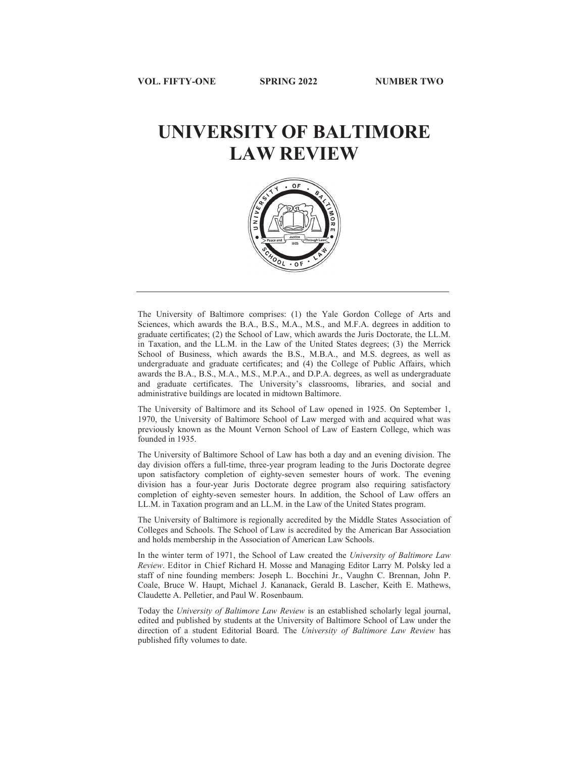

The University of Baltimore comprises: (1) the Yale Gordon College of Arts and Sciences, which awards the B.A., B.S., M.A., M.S., and M.F.A. degrees in addition to graduate certificates; (2) the School of Law, which awards the Juris Doctorate, the LL.M. in Taxation, and the LL.M. in the Law of the United States degrees; (3) the Merrick School of Business, which awards the B.S., M.B.A., and M.S. degrees, as well as undergraduate and graduate certificates; and (4) the College of Public Affairs, which awards the B.A., B.S., M.A., M.S., M.P.A., and D.P.A. degrees, as well as undergraduate and graduate certificates. The University's classrooms, libraries, and social and administrative buildings are located in midtown Baltimore.

The University of Baltimore and its School of Law opened in 1925. On September 1, 1970, the University of Baltimore School of Law merged with and acquired what was previously known as the Mount Vernon School of Law of Eastern College, which was founded in 1935.

The University of Baltimore School of Law has both a day and an evening division. The day division offers a full-time, three-year program leading to the Juris Doctorate degree upon satisfactory completion of eighty-seven semester hours of work. The evening division has a four-year Juris Doctorate degree program also requiring satisfactory completion of eighty-seven semester hours. In addition, the School of Law offers an LL.M. in Taxation program and an LL.M. in the Law of the United States program.

The University of Baltimore is regionally accredited by the Middle States Association of Colleges and Schools. The School of Law is accredited by the American Bar Association and holds membership in the Association of American Law Schools.

In the winter term of 1971, the School of Law created the *University of Baltimore Law Review*. Editor in Chief Richard H. Mosse and Managing Editor Larry M. Polsky led a staff of nine founding members: Joseph L. Bocchini Jr., Vaughn C. Brennan, John P. Coale, Bruce W. Haupt, Michael J. Kananack, Gerald B. Lascher, Keith E. Mathews, Claudette A. Pelletier, and Paul W. Rosenbaum.

Today the *University of Baltimore Law Review* is an established scholarly legal journal, edited and published by students at the University of Baltimore School of Law under the direction of a student Editorial Board. The *University of Baltimore Law Review* has published fifty volumes to date.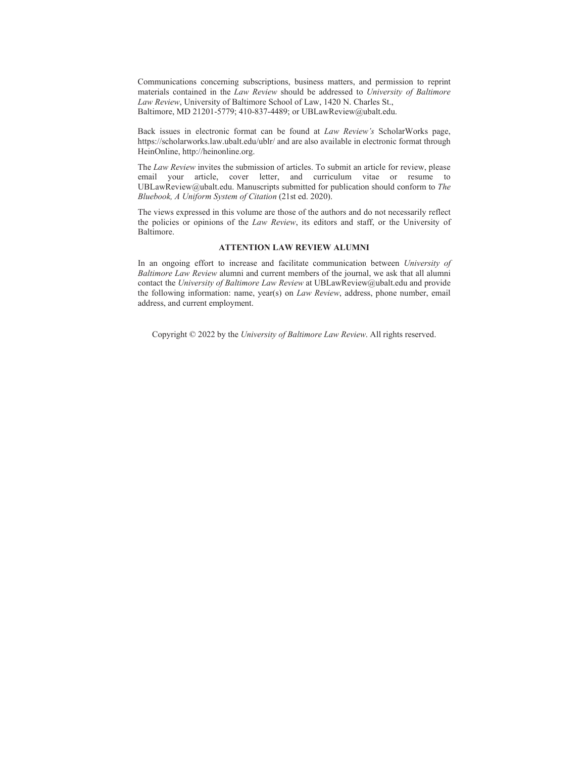Communications concerning subscriptions, business matters, and permission to reprint materials contained in the *Law Review* should be addressed to *University of Baltimore Law Review*, University of Baltimore School of Law, 1420 N. Charles St., Baltimore, MD 21201-5779; 410-837-4489; or UBLawReview@ubalt.edu.

Back issues in electronic format can be found at *Law Review's* ScholarWorks page, https://scholarworks.law.ubalt.edu/ublr/ and are also available in electronic format through HeinOnline, http://heinonline.org.

The *Law Review* invites the submission of articles. To submit an article for review, please email your article, cover letter, and curriculum vitae or resume to UBLawReview@ubalt.edu. Manuscripts submitted for publication should conform to *The Bluebook, A Uniform System of Citation* (21st ed. 2020).

The views expressed in this volume are those of the authors and do not necessarily reflect the policies or opinions of the *Law Review*, its editors and staff, or the University of Baltimore.

#### **ATTENTION LAW REVIEW ALUMNI**

In an ongoing effort to increase and facilitate communication between *University of Baltimore Law Review* alumni and current members of the journal, we ask that all alumni contact the *University of Baltimore Law Review* at UBLawReview@ubalt.edu and provide the following information: name, year(s) on *Law Review*, address, phone number, email address, and current employment.

Copyright © 2022 by the *University of Baltimore Law Review*. All rights reserved.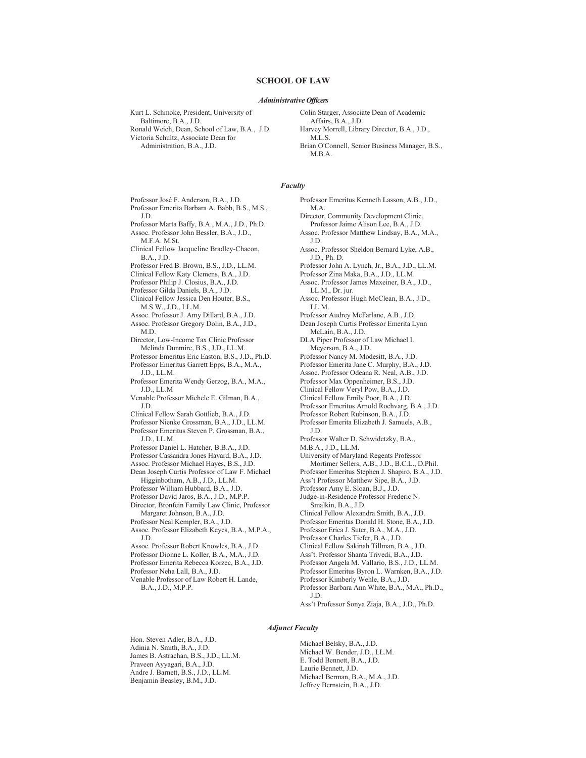#### **SCHOOL OF LAW**

#### *Administrative Officers*

Kurt L. Schmoke, President, University of Baltimore, B.A., J.D.

Ronald Weich, Dean, School of Law, B.A., J.D. Victoria Schultz, Associate Dean for Administration, B.A., J.D.

Colin Starger, Associate Dean of Academic Affairs, B.A., J.D. Harvey Morrell, Library Director, B.A., J.D., M.L.S. Brian O'Connell, Senior Business Manager, B.S.,

M.B.A.

#### *Faculty*

Professor José F. Anderson, B.A., J.D. Professor Emerita Barbara A. Babb, B.S., M.S., J.D. Professor Marta Baffy, B.A., M.A., J.D., Ph.D. Assoc. Professor John Bessler, B.A., J.D., M.F.A. M.St. Clinical Fellow Jacqueline Bradley-Chacon, B.A., J.D. Professor Fred B. Brown, B.S., J.D., LL.M. Clinical Fellow Katy Clemens, B.A., J.D. Professor Philip J. Closius, B.A., J.D. Professor Gilda Daniels, B.A., J.D. Clinical Fellow Jessica Den Houter, B.S., M.S.W., J.D., LL.M. Assoc. Professor J. Amy Dillard, B.A., J.D. Assoc. Professor Gregory Dolin, B.A., J.D., M.D. Director, Low-Income Tax Clinic Professor Melinda Dunmire, B.S., J.D., LL.M. Professor Emeritus Eric Easton, B.S., J.D., Ph.D. Professor Emeritus Garrett Epps, B.A., M.A., J.D., LL.M. Professor Emerita Wendy Gerzog, B.A., M.A., J.D., LL.M Venable Professor Michele E. Gilman, B.A., J.D. Clinical Fellow Sarah Gottlieb, B.A., J.D. Professor Nienke Grossman, B.A., J.D., LL.M. Professor Emeritus Steven P. Grossman, B.A., J.D., LL.M. Professor Daniel L. Hatcher, B.B.A., J.D. Professor Cassandra Jones Havard, B.A., J.D. Assoc. Professor Michael Hayes, B.S., J.D. Dean Joseph Curtis Professor of Law F. Michael Higginbotham, A.B., J.D., LL.M. Professor William Hubbard, B.A., J.D. Professor David Jaros, B.A., J.D., M.P.P. Director, Bronfein Family Law Clinic, Professor Margaret Johnson, B.A., J.D. Professor Neal Kempler, B.A., J.D. Assoc. Professor Elizabeth Keyes, B.A., M.P.A., J.D. Assoc. Professor Robert Knowles, B.A., J.D. Professor Dionne L. Koller, B.A., M.A., J.D. Professor Emerita Rebecca Korzec, B.A., J.D. Professor Neha Lall, B.A., J.D. Venable Professor of Law Robert H. Lande, B.A., J.D., M.P.P.

Professor Emeritus Kenneth Lasson, A.B., J.D., M.A. Director, Community Development Clinic, Professor Jaime Alison Lee, B.A., J.D. Assoc. Professor Matthew Lindsay, B.A., M.A., J.D. Assoc. Professor Sheldon Bernard Lyke, A.B., J.D., Ph. D. Professor John A. Lynch, Jr., B.A., J.D., LL.M. Professor Zina Maka, B.A., J.D., LL.M. Assoc. Professor James Maxeiner, B.A., J.D., LL.M., Dr. jur. Assoc. Professor Hugh McClean, B.A., J.D., LL.M. Professor Audrey McFarlane, A.B., J.D. Dean Joseph Curtis Professor Emerita Lynn McLain, B.A., J.D. DLA Piper Professor of Law Michael I. Meyerson, B.A., J.D. Professor Nancy M. Modesitt, B.A., J.D. Professor Emerita Jane C. Murphy, B.A., J.D. Assoc. Professor Odeana R. Neal, A.B., J.D. Professor Max Oppenheimer, B.S., J.D. Clinical Fellow Veryl Pow, B.A., J.D. Clinical Fellow Emily Poor, B.A., J.D. Professor Emeritus Arnold Rochvarg, B.A., J.D. Professor Robert Rubinson, B.A., J.D. Professor Emerita Elizabeth J. Samuels, A.B., J.D. Professor Walter D. Schwidetzky, B.A., M.B.A., J.D., LL.M. University of Maryland Regents Professor Mortimer Sellers, A.B., J.D., B.C.L., D.Phil. Professor Emeritus Stephen J. Shapiro, B.A., J.D. Ass't Professor Matthew Sipe, B.A., J.D. Professor Amy E. Sloan, B.J., J.D. Judge-in-Residence Professor Frederic N. Smalkin, B.A., J.D. Clinical Fellow Alexandra Smith, B.A., J.D. Professor Emeritas Donald H. Stone, B.A., J.D. Professor Erica J. Suter, B.A., M.A., J.D. Professor Charles Tiefer, B.A., J.D. Clinical Fellow Sakinah Tillman, B.A., J.D. Ass't. Professor Shanta Trivedi, B.A., J.D. Professor Angela M. Vallario, B.S., J.D., LL.M. Professor Emeritus Byron L. Warnken, B.A., J.D. Professor Kimberly Wehle, B.A., J.D. Professor Barbara Ann White, B.A., M.A., Ph.D., J.D.

Ass't Professor Sonya Ziaja, B.A., J.D., Ph.D.

#### *Adjunct Faculty*

Hon. Steven Adler, B.A., J.D. Adinia N. Smith, B.A., J.D. James B. Astrachan, B.S., J.D., LL.M. Praveen Ayyagari, B.A., J.D. Andre J. Barnett, B.S., J.D., LL.M. Benjamin Beasley, B.M., J.D.

Michael Belsky, B.A., J.D. Michael W. Bender, J.D., LL.M. E. Todd Bennett, B.A., J.D. Laurie Bennett, J.D. Michael Berman, B.A., M.A., J.D. Jeffrey Bernstein, B.A., J.D.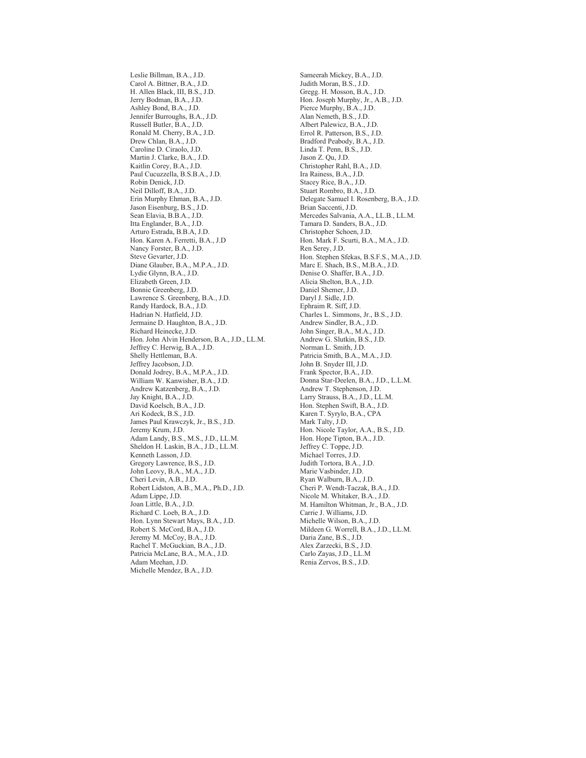Leslie Billman, B.A., J.D. Carol A. Bittner, B.A., J.D. H. Allen Black, III, B.S., J.D. Jerry Bodman, B.A., J.D. Ashley Bond, B.A., J.D. Jennifer Burroughs, B.A., J.D. Russell Butler, B.A., J.D. Ronald M. Cherry, B.A., J.D. Drew Chlan, B.A., J.D. Caroline D. Ciraolo, J.D. Martin J. Clarke, B.A., J.D. Kaitlin Corey, B.A., J.D. Paul Cucuzzella, B.S.B.A., J.D. Robin Denick, J.D. Neil Dilloff, B.A., J.D. Erin Murphy Ehman, B.A., J.D. Jason Eisenburg, B.S., J.D. Sean Elavia, B.B.A., J.D. Itta Englander, B.A., J.D. Arturo Estrada, B.B.A, J.D. Hon. Karen A. Ferretti, B.A., J.D Nancy Forster, B.A., J.D. Steve Gevarter, J.D. Diane Glauber, B.A., M.P.A., J.D. Lydie Glynn, B.A., J.D. Elizabeth Green, J.D. Bonnie Greenberg, J.D. Lawrence S. Greenberg, B.A., J.D. Randy Hardock, B.A., J.D. Hadrian N. Hatfield, J.D. Jermaine D. Haughton, B.A., J.D. Richard Heinecke, J.D. Hon. John Alvin Henderson, B.A., J.D., LL.M. Jeffrey C. Herwig, B.A., J.D. Shelly Hettleman, B.A. Jeffrey Jacobson, J.D. Donald Jodrey, B.A., M.P.A., J.D. William W. Kanwisher, B.A., J.D. Andrew Katzenberg, B.A., J.D. Jay Knight, B.A., J.D. David Koelsch, B.A., J.D. Ari Kodeck, B.S., J.D. James Paul Krawczyk, Jr., B.S., J.D. Jeremy Krum, J.D. Adam Landy, B.S., M.S., J.D., LL.M. Sheldon H. Laskin, B.A., J.D., LL.M. Kenneth Lasson, J.D. Gregory Lawrence, B.S., J.D. John Leovy, B.A., M.A., J.D. Cheri Levin, A.B., J.D. Robert Lidston, A.B., M.A., Ph.D., J.D. Adam Lippe, J.D. Joan Little, B.A., J.D. Richard C. Loeb, B.A., J.D. Hon. Lynn Stewart Mays, B.A., J.D. Robert S. McCord, B.A., J.D. Jeremy M. McCoy, B.A., J.D. Rachel T. McGuckian, B.A., J.D. Patricia McLane, B.A., M.A., J.D. Adam Meehan, J.D. Michelle Mendez, B.A., J.D.

Sameerah Mickey, B.A., J.D. Judith Moran, B.S., J.D. Gregg. H. Mosson, B.A., J.D. Hon. Joseph Murphy, Jr., A.B., J.D. Pierce Murphy, B.A., J.D. Alan Nemeth, B.S., J.D. Albert Palewicz, B.A., J.D. Errol R. Patterson, B.S., J.D. Bradford Peabody, B.A., J.D. Linda T. Penn, B.S., J.D. Jason Z. Qu, J.D. Christopher Rahl, B.A., J.D. Ira Rainess, B.A., J.D. Stacey Rice, B.A., J.D. Stuart Rombro, B.A., J.D. Delegate Samuel I. Rosenberg, B.A., J.D. Brian Saccenti, J.D. Mercedes Salvania, A.A., LL.B., LL.M. Tamara D. Sanders, B.A., J.D. Christopher Schoen, J.D. Hon. Mark F. Scurti, B.A., M.A., J.D. Ren Serey, J.D. Hon. Stephen Sfekas, B.S.F.S., M.A., J.D. Marc E. Shach, B.S., M.B.A., J.D. Denise O. Shaffer, B.A., J.D. Alicia Shelton, B.A., J.D. Daniel Shemer, J.D. Daryl J. Sidle, J.D. Ephraim R. Siff, J.D. Charles L. Simmons, Jr., B.S., J.D. Andrew Sindler, B.A., J.D. John Singer, B.A., M.A., J.D. Andrew G. Slutkin, B.S., J.D. Norman L. Smith, J.D. Patricia Smith, B.A., M.A., J.D. John B. Snyder III, J.D. Frank Spector, B.A., J.D. Donna Star-Deelen, B.A., J.D., L.L.M. Andrew T. Stephenson, J.D. Larry Strauss, B.A., J.D., LL.M. Hon. Stephen Swift, B.A., J.D. Karen T. Syrylo, B.A., CPA Mark Talty, J.D. Hon. Nicole Taylor, A.A., B.S., J.D. Hon. Hope Tipton, B.A., J.D. Jeffrey C. Toppe, J.D. Michael Torres, J.D. Judith Tortora, B.A., J.D. Marie Vasbinder, J.D. Ryan Walburn, B.A., J.D. Cheri P. Wendt-Taczak, B.A., J.D. Nicole M. Whitaker, B.A., J.D. M. Hamilton Whitman, Jr., B.A., J.D. Carrie J. Williams, J.D. Michelle Wilson, B.A., J.D. Mildeen G. Worrell, B.A., J.D., LL.M. Daria Zane, B.S., J.D. Alex Zarzecki, B.S., J.D. Carlo Zayas, J.D., LL.M Renia Zervos, B.S., J.D.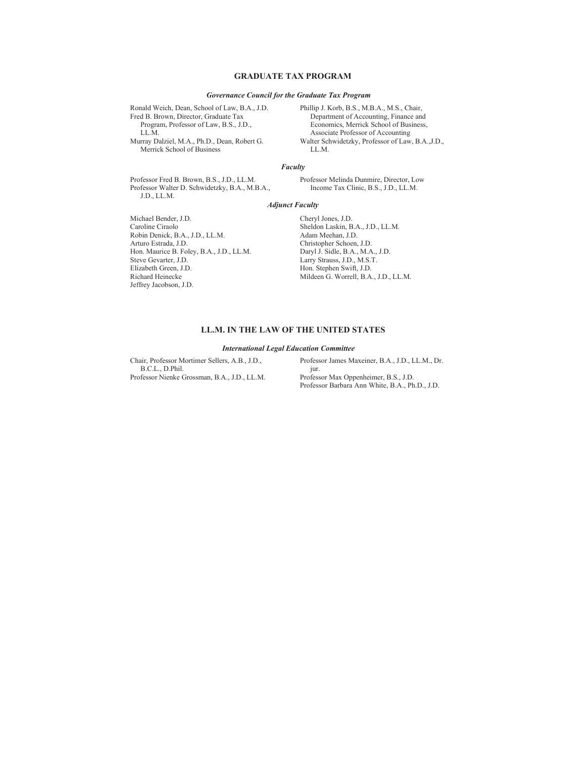#### **GRADUATE TAX PROGRAM**

#### *Governance Council for the Graduate Tax Program*

Ronald Weich, Dean, School of Law, B.A., J.D. Fred B. Brown, Director, Graduate Tax Program, Professor of Law, B.S., J.D., LL.M. Murray Dalziel, M.A., Ph.D., Dean, Robert G.

Merrick School of Business

Phillip J. Korb, B.S., M.B.A., M.S., Chair, Department of Accounting, Finance and Economics, Merrick School of Business, Associate Professor of Accounting Walter Schwidetzky, Professor of Law, B.A.,J.D., LL.M.

#### *Faculty*

Professor Fred B. Brown, B.S., J.D., LL.M. Professor Walter D. Schwidetzky, B.A., M.B.A., J.D., LL.M.

Professor Melinda Dunmire, Director, Low Income Tax Clinic, B.S., J.D., LL.M.

#### *Adjunct Faculty*

Michael Bender, J.D. Caroline Ciraolo Robin Denick, B.A., J.D., LL.M. Arturo Estrada, J.D. Hon. Maurice B. Foley, B.A., J.D., LL.M. Steve Gevarter, J.D. Elizabeth Green, J.D. Richard Heinecke Jeffrey Jacobson, J.D.

Cheryl Jones, J.D. Sheldon Laskin, B.A., J.D., LL.M. Adam Meehan, J.D. Christopher Schoen, J.D. Daryl J. Sidle, B.A., M.A., J.D. Larry Strauss, J.D., M.S.T. Hon. Stephen Swift, J.D. Mildeen G. Worrell, B.A., J.D., LL.M.

#### **LL.M. IN THE LAW OF THE UNITED STATES**

#### *International Legal Education Committee*

Chair, Professor Mortimer Sellers, A.B., J.D., B.C.L., D.Phil. Professor Nienke Grossman, B.A., J.D., LL.M. Professor James Maxeiner, B.A., J.D., LL.M., Dr. jur. Professor Max Oppenheimer, B.S., J.D. Professor Barbara Ann White, B.A., Ph.D., J.D.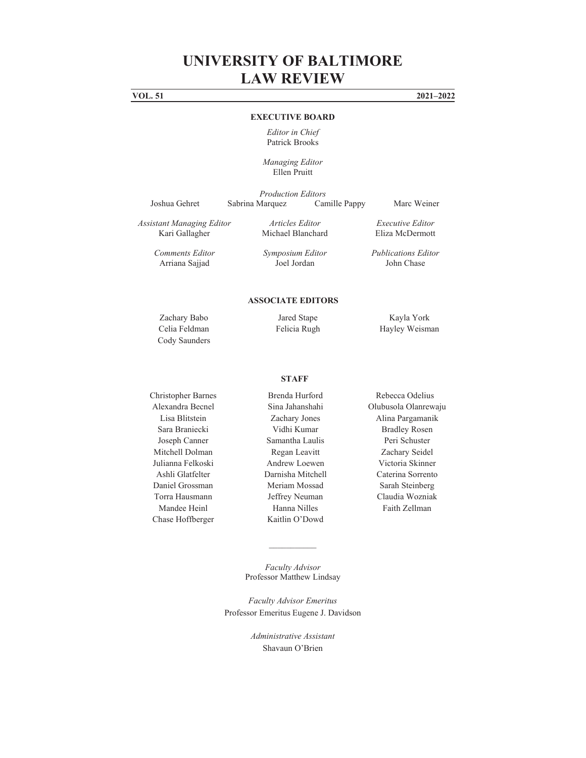**VOL. 51 2021–2022**

#### **EXECUTIVE BOARD**

*Editor in Chief*  Patrick Brooks

*Managing Editor*  Ellen Pruitt

*Production Editors* 

Joshua Gehret Sabrina Marquez Camille Pappy Marc Weiner

*Assistant Managing Editor*  Kari Gallagher

*Articles Editor*  Michael Blanchard

*Executive Editor*  Eliza McDermott

*Comments Editor*  Arriana Sajjad

*Symposium Editor*  Joel Jordan

*Publications Editor* John Chase

#### **ASSOCIATE EDITORS**

Cody Saunders

Zachary Babo Jared Stape Kayla York Celia Feldman Felicia Rugh Hayley Weisman

#### **STAFF**

Mitchell Dolman Regan Leavitt Zachary Seidel Julianna Felkoski Andrew Loewen Victoria Skinner Ashli Glatfelter Darnisha Mitchell Caterina Sorrento Daniel Grossman Meriam Mossad Sarah Steinberg Torra Hausmann Jeffrey Neuman Claudia Wozniak

Christopher Barnes Brenda Hurford Rebecca Odelius Lisa Blitstein Zachary Jones Alina Pargamanik Sara Braniecki Vidhi Kumar Bradley Rosen Joseph Canner Samantha Laulis Peri Schuster Mandee Heinl **Hanna Nilles** Faith Zellman Chase Hoffberger Kaitlin O'Dowd

Alexandra Becnel Sina Jahanshahi Olubusola Olanrewaju

*Faculty Advisor*  Professor Matthew Lindsay

 $\mathcal{L}_\text{max}$ 

*Faculty Advisor Emeritus*  Professor Emeritus Eugene J. Davidson

> *Administrative Assistant*  Shavaun O'Brien